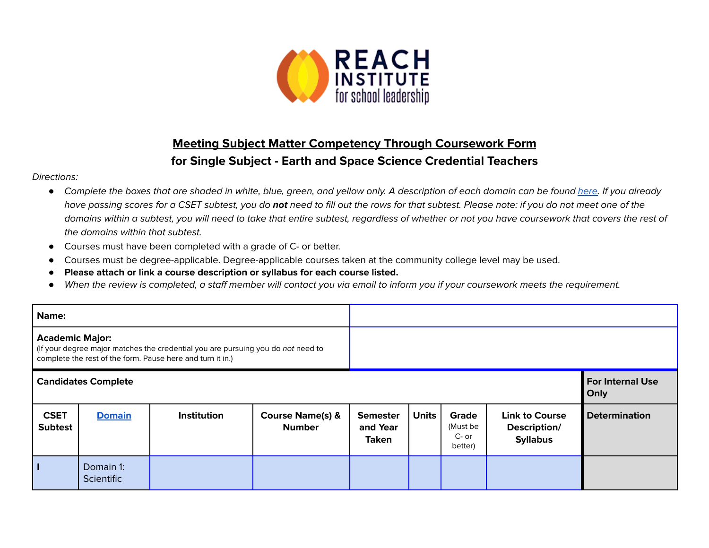

## **Meeting Subject Matter Competency Through Coursework Form for Single Subject - Earth and Space Science Credential Teachers**

## Directions:

- Complete the boxes that are shaded in white, blue, green, and yellow only. A description of each domain can be found [here.](https://www.ctc.ca.gov/docs/default-source/educator-prep/files/domains-of-subject-matter-requirements.pdf?sfvrsn=dcd525b1_2) If you already have passing scores for a CSET subtest, you do **not** need to fill out the rows for that subtest. Please note: if you do not meet one of the domains within a subtest, you will need to take that entire subtest, regardless of whether or not you have coursework that covers the rest of the domains within that subtest.
- *●* Courses must have been completed with a grade of C- or better.
- Courses must be degree-applicable. Degree-applicable courses taken at the community college level may be used.
- *●* **Please attach or link a course description or syllabus for each course listed.**
- *●* When the review is completed, a staff member will contact you via email to inform you if your coursework meets the requirement.

| Name:                                                                                                                                                                    |                                |                    |                                              |                                             |                                 |                                       |                                                          |                      |
|--------------------------------------------------------------------------------------------------------------------------------------------------------------------------|--------------------------------|--------------------|----------------------------------------------|---------------------------------------------|---------------------------------|---------------------------------------|----------------------------------------------------------|----------------------|
| <b>Academic Major:</b><br>(If your degree major matches the credential you are pursuing you do not need to<br>complete the rest of the form. Pause here and turn it in.) |                                |                    |                                              |                                             |                                 |                                       |                                                          |                      |
| <b>Candidates Complete</b>                                                                                                                                               |                                |                    |                                              |                                             | <b>For Internal Use</b><br>Only |                                       |                                                          |                      |
| <b>CSET</b><br><b>Subtest</b>                                                                                                                                            | <b>Domain</b>                  | <b>Institution</b> | <b>Course Name(s) &amp;</b><br><b>Number</b> | <b>Semester</b><br>and Year<br><b>Taken</b> | <b>Units</b>                    | Grade<br>(Must be<br>C- or<br>better) | <b>Link to Course</b><br>Description/<br><b>Syllabus</b> | <b>Determination</b> |
|                                                                                                                                                                          | Domain 1:<br><b>Scientific</b> |                    |                                              |                                             |                                 |                                       |                                                          |                      |